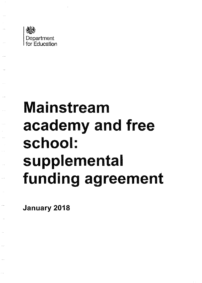

# Mainstream academy and free school: supplemental funding agreement

January 2018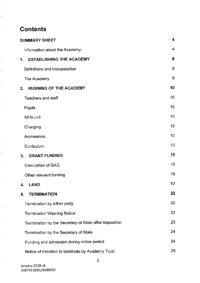# **Contents**

 $\hat{\phi}$ 

. . . .

 $\mathbb{R}^2$ 

 $\mathcal{A}$ 

 $\ddot{\phantom{a}}$ 

...,

 $\sim$ 

 $\ddot{\phantom{0}}$ 

 $\ddot{\phantom{0}}$ 

 $\dotsc$ 

 $\sim$   $\phi$ 

 $\mathbb{R}^{d}$ 

k,  $\ddotsc$ 

ł,  $\langle \cdot, \cdot \rangle$ 

Ŷ.  $\langle \cdot, \cdot \rangle$ 

 $\hat{\phi}$  .

 $\langle \rangle$ 

 $\sim$ 

 $\sim$ 

 $\hat{\mathcal{H}}$ 

 $\sim$ 

 $\sim$ 

| <b>SUMMARY SHEET</b>                                   |                 |
|--------------------------------------------------------|-----------------|
| Information about the Academy:                         | $\cdot$ 4       |
| <b>ESTABLISHING THE ACADEMY</b><br>1.                  | 8               |
| Definitions and interpretation                         | 8               |
| The Academy                                            | 9               |
| <b>RUNNING OF THE ACADEMY</b><br>2.                    | 10              |
| Teachers and staff                                     | 10              |
| Pupils                                                 | 10              |
| <b>SEN unit</b>                                        | 10              |
| Charging                                               | 10              |
| Admissions                                             | 10 <sup>°</sup> |
| Curriculum                                             | 13              |
| <b>GRANT FUNDING</b><br>3.                             | 15              |
| Calculation of GAG                                     | 15              |
| Other relevant funding                                 | 16              |
| <b>LAND</b><br>4.                                      | 17              |
| <b>TERMINATION</b><br>5.                               | 22              |
| Termination by either party                            | 22              |
| <b>Termination Warning Notice</b>                      | 22              |
| Termination by the Secretary of State after inspection | 23              |
| Termination by the Secretary of State                  | 24              |
| Funding and admission during notice period             | 24              |
| Notice of intention to terminate by Academy Trust      | 25              |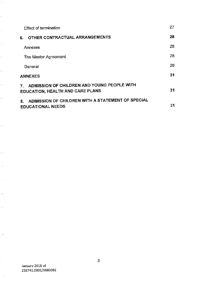| <b>Effect of termination</b>                                                                 | 27 |
|----------------------------------------------------------------------------------------------|----|
| OTHER CONTRACTUAL ARRANGEMENTS<br>6.                                                         | 28 |
| Annexes                                                                                      | 28 |
| The Master Agreement                                                                         | 28 |
| General                                                                                      | 28 |
| <b>ANNEXES</b>                                                                               | 31 |
| ADMISSION OF CHILDREN AND YOUNG PEOPLE WITH<br>7.<br><b>EDUCATION, HEALTH AND CARE PLANS</b> | 31 |
| ADMISSION OF CHILDREN WITH A STATEMENT OF SPECIAL<br>8.<br><b>EDUCATIONAL NEEDS</b>          | 31 |

ia.

 $\ddot{\cdot}$ 

u)

44

 $\ddot{\phantom{0}}$ 

 $\ddotsc$ 

 $\ddotsc$ 

 $\hat{\mathcal{A}}$  $\cdots$ 

 $\frac{1}{2}$ 

. . .

 $\hat{\mathcal{L}}_0$ 

 $\bar{\psi}$   $\bar{\psi}$ 

 $\hat{\mathcal{A}}_{\text{ext}}$ 

Ŷ,

 $\cdot$   $\sim$ 

 $\ddotsc$ 

 $\hat{\phi}$ 

Ŷ,

 $\hat{\mathcal{A}}$ 

 $\langle \ldots \rangle$  .

 $\hat{\phi}$ 

 $\langle \cdot, \cdot \rangle$ 

 $\langle \cdot, \cdot \rangle$ 

 $\sim$   $\sim$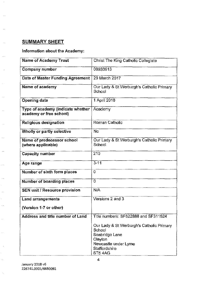## **SUMMARY SHEET**

 $\bar{\mathcal{A}}$ 

i,

J,

 $\ddot{\phantom{a}}$ 

÷.

 $\ddot{ }$ 

Ŷ,

## **Information about the Academy:**

| <b>Name of Academy Trust</b>                                 | Christ The King Catholic Collegiate                                                                                                 |
|--------------------------------------------------------------|-------------------------------------------------------------------------------------------------------------------------------------|
| Company number                                               | 08933913                                                                                                                            |
| Date of Master Funding Agreement                             | 29 March 2017                                                                                                                       |
| Name of academy                                              | Our Lady & St Werburgh's Catholic Primary<br>School                                                                                 |
| <b>Opening date</b>                                          | 1 April 2018                                                                                                                        |
| Type of academy (indicate whether<br>academy or free school) | Academy                                                                                                                             |
| Religious designation                                        | Roman Catholic                                                                                                                      |
| Wholly or partly selective                                   | No                                                                                                                                  |
| Name of predecessor school<br>(where applicable)             | Our Lady & St Werburgh's Catholic Primary<br>School                                                                                 |
| Capacity number                                              | 210                                                                                                                                 |
| Age range                                                    | $3 - 11$                                                                                                                            |
| Number of sixth form places                                  | 0                                                                                                                                   |
| Number of boarding places                                    | 0                                                                                                                                   |
| SEN unit / Resource provision                                | N/A                                                                                                                                 |
| <b>Land arrangements</b>                                     | Versions 2 and 3                                                                                                                    |
| (Version 1-7 or other)                                       |                                                                                                                                     |
| Address and title number of Land                             | Title numbers: SF522888 and SF311524                                                                                                |
|                                                              | Our Lady & St Werburgh's Catholic Primary<br>School<br>Seabridge Lane<br>Clayton<br>Newcastle under Lyme<br>Staffordshire<br>ST54AG |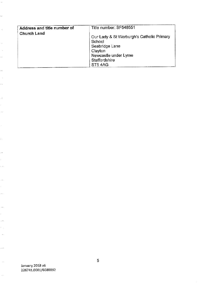| Address and title number of | Title number: SF548551                                                                                                              |
|-----------------------------|-------------------------------------------------------------------------------------------------------------------------------------|
| <b>Church Land</b>          | Our Lady & St Werburgh's Catholic Primary<br>School<br>Seabridge Lane<br>Clayton<br>Newcastle under Lyme<br>Staffordshire<br>ST54AG |

 $\frac{1}{2}$ 

 $\ddot{\phantom{0}}$ 

 $\sim$ 

 $\mathcal{A}$ 

 $\frac{1}{2}$  $\hat{\phi}$ 

 $\ddot{\phantom{1}}$ 

 $\mathcal{A}$ . .

 $\frac{1}{2}$ 

Ļ,

 $\ddot{\phi}$ 

 $\hat{\mathcal{C}}$ 

 $\frac{1}{2}$ 

 $\frac{1}{2}$ 

ł,  $\frac{1}{2}$ 

 $\hat{\beta}$ 

k) in.

 $\ddot{\phantom{a}}$ 

k)<br>1  $\ddot{\phantom{0}}$  $\hat{\psi}$  ).

 $\frac{1}{2}$ 

 $\cdots$ 

 $\langle \rangle$ 

 $\sim$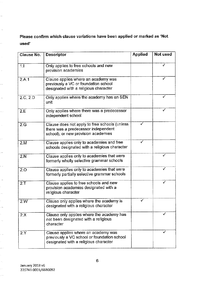**Please confirm which clause variations have been applied or marked as 'Not used'** 

| <b>Clause No.</b> | <b>Descriptor</b>                                                                                                           | <b>Applied</b> | Not used |
|-------------------|-----------------------------------------------------------------------------------------------------------------------------|----------------|----------|
| 1.1               | Only applies to free schools and new<br>provision academies                                                                 |                | ✓        |
| 2.A.1             | Clause applies where an academy was<br>previously a VC or foundation school<br>designated with a religious character        |                | ✓        |
| 2.C, 2.D          | Only applies where the academy has an SEN<br>unit                                                                           |                | ✓        |
| 2.E               | Only applies where there was a predecessor<br>independent school                                                            |                |          |
| 2 <sub>c</sub>    | Clause does not apply to free schools (unless<br>there was a predecessor independent<br>school), or new provision academies | ✓              |          |
| 2.M               | Clause applies only to academies and free<br>schools designated with a religious character                                  |                |          |
| 2.N               | Clause applies only to academies that were<br>formerly wholly selective grammar schools                                     |                | ✓        |
| 2.0               | Clause applies only to academies that were<br>formerly partially selective grammar schools                                  |                | ✓        |
| 2.7               | Clause applies to free schools and new<br>provision academies designated with a<br>religious character                      |                |          |
| 2.W               | Clause only applies where the academy is<br>designated with a religious character                                           | ✓              |          |
| 2.X               | Clause only applies where the academy has<br>not been designated with a religious<br>character                              |                |          |
| 2.Y               | Clause applies where an academy was<br>previously a VC school or foundation school<br>designated with a religious character |                |          |

ò,

u.

 $\hat{\beta}$ 

 $\ddot{\cdot}$ 

 $\mathbb{R}^2$ 

 $\hat{\rho}$ 

Ļ,

 $\hat{\phi}$  ,

 $\hat{\phi}$ 

 $\mathbb{R}^2$ 

 $\frac{1}{2}$ 

47

 $\hat{\phi}$ 

Ļ, .,

, , , ,

 $\epsilon$  $\hat{\phi}$ 

i.

ł,

are e

k,  $\hat{\mathcal{A}}$ 

 $\hat{\phi}$ 

 $\sim$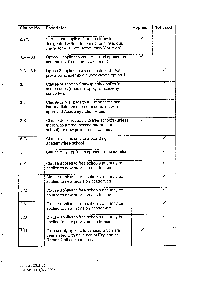| Clause No.    | Descriptor                                                                                                                        | <b>Applied</b> | Not used     |
|---------------|-----------------------------------------------------------------------------------------------------------------------------------|----------------|--------------|
| 2.Yc)         | Sub-clause applies if the academy is<br>designated with a denominational religious<br>character - CE etc. rather than 'Christian' |                |              |
| $3: A - 3. F$ | Option 1 applies to converter and sponsored<br>academies: if used delete option 2                                                 |                |              |
| $3.A - 3.F$   | Option 2 applies to free schools and new<br>provision academies: if used delete option 1                                          |                | $\checkmark$ |
| 3.H           | Clause relating to Start-up only applies in<br>some cases (does not apply to academy<br>converters)                               |                |              |
| 3.1           | Clause only applies to full sponsored and<br>intermediate sponsored academies with<br>approved Academy Action Plans               |                |              |
| 3.K           | Clause does not apply to free schools (unless<br>there was a predecessor independent<br>school), or new provision academies       |                |              |
| 5.G.1         | Clause applies only to a boarding<br>academy/free school                                                                          |                | ✓            |
| 5.1           | Clause only applies to sponsored academies                                                                                        |                |              |
| 5.K           | Clause applies to free schools and may be<br>applied to new provision academies                                                   |                | ✓            |
| 5.L           | Clause applies to free schools and may be<br>applied to new provision academies                                                   |                |              |
| 5.M           | Clause applies to free schools and may be<br>applied to new provision academies                                                   |                |              |
| 5.N           | Clause applies to free schools and may be<br>applied to new provision academies                                                   |                |              |
| 5.0           | Clause applies to free schools and may be<br>applied to new provision academies                                                   |                |              |
| 6.H           | Clause only applies to schools which are<br>designated with a Church of England or<br>Roman Catholic character                    |                |              |

 $\ddot{\phi}$ 

 $\bar{\phi}$ 

 $\mathbb{R}^2$ 

 $\hat{\phi}$ 

 $\ddot{\cdot}$ 

in.<br>C

 $\bar{\beta}$ 

Ļ,  $\frac{1}{2}$  ,

 $\omega$   $\bar{\nu}$  $\frac{1}{2}$  $\frac{1}{2}$ 

 $\frac{1}{2}$ 

k) i<br>S

 $\hat{\theta}$ 

ł,

 $\frac{1}{2}$ 

i<br>S  $\ddot{\cdot}$ 

 $\frac{1}{2}$ 

k)<br>S  $\frac{1}{\sqrt{2}}$ 

ł,  $\frac{1}{2}$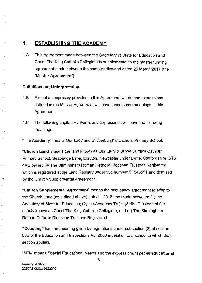## **1. ESTABLISHING THE ACADEMY**

1.A This Agreement made between the Secretary of State for Education and Christ The King Catholic Collegiate is supplemental to the master funding agreement made between the same parties and dated 29 March 2017 (the **"Master Agreement'').** 

#### **Definitions and interpretation**

 $\sim$   $\alpha$ 

 $\bar{\mathcal{A}}$  .

 $\bar{\omega}$ 

 $\overline{\mathbf{a}}$ 

Ω,

j.

. . . .

- 1. B Except as expressly provided in this Agreement words and expressions defined in the Master Agreement will have those same meanings in this Agreement.
- 1.C The following capitalised words and expressions will have the following **meanings:**

"The **Academy"** means Our Lady and St Werburgh's Catholic Primary School.

**"Church Land"** means the land known as Our Lady & St Werburgh's Catholic Primary School, Seabridge Lane, Clayton, Newcastle under Lyme, Staffordshire, ST5 4AG owned by The Birmingham Roman Catholic Diocesan Trustees Registered which is registered at the Land Registry under title number SF548551 and demised by the Church Supplemental Agreement.

**"Church Supplemental Agreement"** means the occupancy agreement relating to the Church Land (as defined above) dated 2018 and made between: (1) the Secretary of State for Education; (2) the Academy Trust; (3) the Trustees of the charity known as Christ The King Catholic Collegiate; and (4) The Binmingham Roman Catholic Diocesan Trustees Registered.

**"Coasting"** has the meaning given by regulations under subsection (3) of section 60B of the Education and Inspections Act 2006 in relation to a school to which that section applies.

**"SEN"** means Special Educational Needs and the expressions **"special educational** 

**January 2018 v6**  2267 41.0001/6680092 8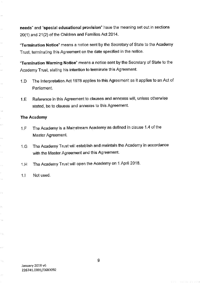**needs"** and **"special educational provision"** have the meaning set out in sections 20(1) and 21(2) of the Children and Families Act 2014.

**"Termination Notice"** means a notice sent by the Secretary of State to the Academy Trust, terminating this Agreement on the date specified in the notice.

**"Termination Warning Notice"** means a notice sent by the Secretary of State to the Academy Trust, stating his intention to terminate this Agreement.

- 1. D The Interpretation Act 1978 applies ta this Agreement as it applies ta an Act of Parliament.
- 1.E Reference in this Agreement to clauses and annexes will, unless otherwise stated, be to clauses and annexes to this Agreement.

#### **The Academy**

 $\ddotsc$ 

 $\bar{a}$ 

l.

 $\ddotsc$ 

i.

 $\bar{\mathcal{A}}$ 

Щ,

 $\ddotsc$ 

μ.,

 $\hat{\phi}_\alpha$ 

 $\ddotsc$ 

k.

 $\ddotsc$ 

i.

 $\bar{z}$  .

- 1.F The Academy is a Mainstream Academy as defined in clause 1.4 of the Master Agreement.
- 1.G The Academy Trust will establish and maintain the Academy in accordance with the Master Agreement and this Agreement.
- 1.H The Academy Trust will open the Academy on 1 April 2018.

#### 1.1 Not used.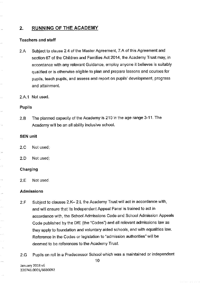## **2. RUNNING OF THE ACADEMY**

#### **Teachers and staff**

ļ.

 $\bar{\mathcal{A}}$  .

J.

 $\ddotsc$ 

J.

 $\hat{\mathcal{A}}_{\text{max}}$ 

i.

 $\hat{\beta}$  .

÷.

 $\ddotsc$ 

 $\sim$   $\sim$ 

- 2.A Subject to clause 2.4 of the Master Agreement, 7.A of this Agreement and section 67 of the Children and Families Act 2014, the Academy Trust may, in accordance with any relevant Guidance, employ anyone it believes is suitably qualified or is otherwise eligible to plan and prepare lessons and courses for pupils, teach pupils, and assess and report on pupils' development, progress and attainment.
- 2.A.1 Not used.

#### **Pupils**

2.B The planned capacity of the Academy is 210 in the age range 3-11. The Academy will be an all ability inclusive school.

#### **SEN unit**

2.C Not used;

2.D Not used;

#### **Charging**

2.E Not used.

#### **Admissions**

- 2.F Subject to clauses 2.K- 2.L the Academy Trust will act in accordance with, and will ensure that its Independent Appeal Panel is trained to act in accordance with, the School Admissions Code and School Admission Appeals Code published by the DIE (the "Codes") and all relevant admissions law as they apply to foundation and voluntary aided schools, and with equalities law. Reference in the Codes or legislation to "admission authorities" will be deemed to be references to the Academy Trust.
- 2.G Pupils on roll in a Predecessor School which was a maintained or independent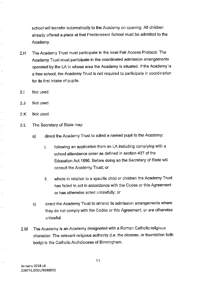school will transfer automatically to the Academy on opening. All children already offered a place at that Predecessor School must be admitted to the Academy.

- 2.H The Academy Trust must participate in the local Fair Access Protocol. The Academy Trust must participate in the coordinated admission arrangements operated by the LA in whose area the Academy is situated. If the Academy is a free school, the Academy Trust is not required to participate in coordination for its first intake of pupils.
- 2.1 Not used.

Ш,

 $\cdots$ 

 $\ddot{\phantom{a}}$ 

 $\bar{\beta}$ 

in is

ý.

÷,  $\ldots$ 

 $\mathcal{L}^{\pm}$  .

 $\ddot{\phantom{0}}$  $\mathbf{1}$ 

 $\bar{\psi}$ 

...

 $\ddotsc$ 

 $\hat{\zeta}$ 

 $\tau \rightarrow 0$ 

 $\mathbb{Z}_2$ 

 $\bar{\omega}$  .  $\bar{\omega}$ 

معاد

 $\sim$   $\sim$ 

- 2.J Not used.
- 2.K Not used.
- 2.L The Secretary of State may:
	- a) direct the Academy Trust to admit a named pupil to the Academy:
		- i. following an application from an LA including complying with a school attendance order as defined in section 437 of the Education Act 1996. Before doing so the Secretary of State will consult the Academy Trust; or
		- ii. where in relation to a specific child or children the Academy Trust has failed to act in accordance with the Codes or this Agreement or has otherwise acted unlawfully; or
	- b) direct the Academy Trust to amend its admission arrangements where they do not comply with the Codes or this Agreement, or are otherwise unlawful.
- 2.M The Academy is an Academy designated with a Roman Catholic religious character. The relevant religious authority (i.e. the diocese, or foundation faith body) is the Catholic Archdiocese of Birmingham.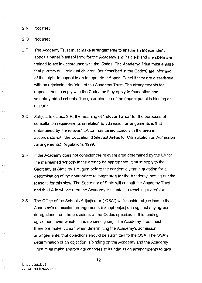2.N Not used.

 $\sim$ 

 $\bar{\nu}$  is  $\bar{\nu}$ 

 $\bar{\mathcal{A}}$  .

 $\bar{\mathcal{A}}$ 

 $\sim$   $\sim$ 

 $\frac{1}{2}$  ,  $\frac{1}{2}$ 

 $\ldots$ 

 $\bar{1}$  ,

 $\bar{\rho}$  .

 $\ddotsc$  $\bar{L}$  is

 $\hat{\phi}$ 

 $\epsilon$  $\ldots$ 

 $\mathbb{R}^2$ 

 $\ddot{\phantom{0}}$ in.

Ц,

 $\sim$   $\mu$ 

 $\bar{\mathcal{A}}$ 

 $\sim$ 

 $\ddotsc$ 

 $\sim$  . .

2.0 Not used.

- 2.P The Academy Trust must make arrangements to ensure an independent appeals panel is established for the Academy and its clerk and members are trained to act in accordance with the Codes. The Academy Trust must ensure that parents and 'relevant children' (as described in the Codes) are informed of their right to appeal to an Independent Appeal Panel if they are dissatisfied with an admission decision of the Academy Trust. The arrangements for appeals must comply with the Codes as they apply to foundation and voluntary aided schools. The determination of the appeal panel is binding on all parties.
- 2.Q Subject to clause 2.R, the meaning of **"relevant area"** for the purposes of **consultation requirements in relation to admission arrangements is that**  determined by the relevant LA for maintained schools in the area in accordance with the Education (Relevant Areas for Consultation on Admission Arrangements) Regulations 1999.
- 2.R If the Academy does not consider the relevant area determined by the LA for the maintained schools in the area to be appropriate, it must apply to the Secretary of State by 1 August before the academic year in question for a determination of the appropriate relevant area for the Academy, setting out the reasons for this view. The Secretary of State will consult the Academy Trust and the LA in whose area the Academy is situated in reaching a decision.
- 2.S The Office of the Schools Adjudicator ("OSA") will consider objections to the Academy's admission arrangements (except objections against any agreed derogations from the provisions of the Codes specified in this funding agreement, over which it has no jurisdiction). The Academy Trust must therefore make it clear, when determining the Academy's admission arrangements, that objections should be submitted to the OSA. The OSA's determination of an objection is binding on the Academy and the Academy Trust must make appropriate changes to its admission arrangements to give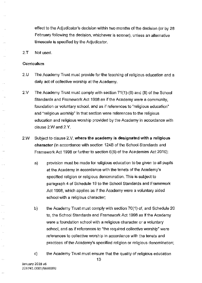effect to the Adjudicator's decision within two months of the decision (or by 28 February following the decision, whichever is sooner), unless an alternative timescale is specified by the Adjudicator.

2.T Not used.

#### **Curriculum**

 $\mathbb{R}^2$ 

J.

 $\ddotsc$ 

 $\bar{\mathcal{A}}$ 

 $\ddotsc$ 

J.

L.

 $\ddotsc$ 

- 2.U The Academy Trust must provide for the teaching of religious education and a daily act of collective worship at the Academy.
- 2.V The Academy Trust must comply with section 71 (1)-(6) and (8) of the School Standards and Framework Act 1998 as if the Academy were a community, foundation or voluntary school, and as if references to "religious education" and "religious worship" in that section were references to the religious education and religious worship provided by the Academy in accordance with clause 2.W and 2.Y.
- 2.W Subject to clause 2.V, **where the academy is designated with a religious character** (in accordance with section 124B of the School Standards and Framework Act 1998 or further to section 6(8) of the Academies Act 2010):
	- a) provision must be made for religious education to be given to all pupils at the Academy in accordance with the tenets of the Academy's specified religion or religious denomination. This is subject to paragraph 4 of Schedule 19 to the School Standards and Framework Act 1998, which applies as if the Academy were a voluntary aided school with a religious character;
	- b) the Academy Trust must comply with section 70(1) of, and Schedule 20 to, the School Standards and Framework Act 1998 as if the Academy were a foundation school with a religious character or a voluntary school, and as if references to "the required collective worship" were **references to collective worship in accordance with the tenets and**  practices of the Academy's specified religion or religious denomination;
	- c) the Academy Trust must ensure that the quality of religious education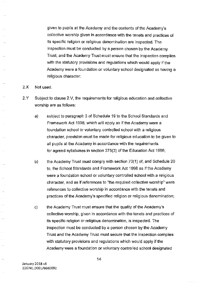given to pupils at the Academy and the contents of the Academy's collective worship given in accordance with the tenets and practices of its specific religion or religious denomination are inspected. The inspection must be conducted by a person chosen by the Academy Trust, and the Academy Trust must ensure that the inspection complies with the statutory provisions and regulations which would apply if the Academy were a foundation or voluntary school designated as having a religious character.

#### 2.X Not used.

i ul

 $\sim$  .  $\sim$ 

 $\mathbb{Z}^{\mathbb{Z}}$  .

 $\ddotsc$ 

.<br>...

j.,

 $\bar{\phantom{a}}$ 

- 2.Y Subject to clause 2.V, the requirements for religious education and collective worship are as follows:
	- a) subject to paragraph 3 of Schedule 19 to the School Standards and Framework Act 1998, which will apply as if the Academy were a foundation school or voluntary controlled school with a religious character, provision must be made for religious education to be given to all pupils at the Academy in accordance with the requirements for agreed syllabuses in section 375(3) of the Education Act 1996;
	- b) the Academy Trust must comply with section 70(1) of, and Schedule 20 to, the School Standards and Framework Act 1998 as if the Academy were a foundation school or voluntary controlled school with a religious **character, arid as if references to "the required collective worship" were**  references to collective worship in accordance with the tenets and practices of the Academy's specified religion or religious denomination;
	- c) the Academy Trust must ensure that the quality of the Academy's collective worship, given in accordance with the tenets and practices of its specific religion or religious denomination, is inspected. The inspection must be conducted by a person chosen by the Academy Trust and the Academy Trust must secure that the inspection complies with statutory provisions and regulations which would apply if the Academy were a foundation or voluntary controlled school designated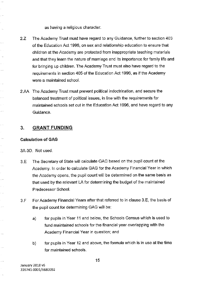as having a religious character.

- 2.Z The Academy Trust must have regard to any Guidance, further to section 403 of the Education Act 1996, on sex and relationship education to ensure that children at the Academy are protected from inappropriate teaching materials and that they learn the nature of marriage and its importance for family life and for bringing up children. The Academy Trust must also have regard to the requirements in section 405 of the Education Act 1996, as if the Academy **were a maintained school.**
- 2.AA The Academy Trust must prevent political indoctrination, and secure the balanced treatment of political issues, in line with the requirements for maintained schools set out in the Education Act 1996, and have regard to any Guidance.

### **3. GRANT FUNDING**

#### **Calculation of GAG**

3A-3D. Not used.

للمرار

 $\sim$ 

i.

 $\bar{\tau}_\mathrm{A}$ 

 $\epsilon_{\rm c}$  . in d

 $\mathbb{R}^2$ 

 $\epsilon=1$  $\hat{\rho} \rightarrow \hat{\rho}$ 

 $\hat{\rho}(\hat{\theta})$  .

 $\mathbb{Z}^{\mathbb{Z}}$ 

 $\tau_{\rm{c}}$   $_{\rm{m}}$ 

.<br>Pr

 $\mathcal{L}_{\mathrm{max}}$ 

i.

i di

 $\mathbb{R}^{2}$ 

i.

 $\ldots$ 

. . . .

- 3.E The Secretary of State will calculate GAG based on the pupil count at the Academy. In order to calculate GAG for the Academy Financial Year in which the Academy opens, the pupil count will be determined on the same basis as that used by the relevant LA for determining the budget of the maintained Predecessor School.
- 3.F For Academy Financial Years after that referred to in clause 3.E, the basis of the pupil count for determining GAG will be:
	- a) for pupils in Year 11 and below, the Schools Census which is used to fund maintained schools for the financial year overlapping with the **Academy Financial Year in question; and**
	- b) for pupils in Year 12 and above, the formula which is in use at the time **for maintained schools.**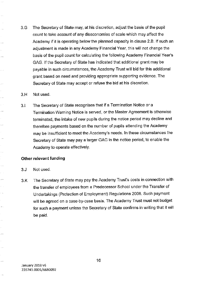3.G The Secretary of State may, at his discretion, adjust the basis of the pupil count to take account of any diseconomies of scale which may affect the Academy if it is operating below the planned capacity in clause 2.8. If such an adjustment is made in any Academy Financial Year, this will not change the basis of the pupil count for calculating the following Academy Financial Year's GAG. If the Secretary of State has indicated that additional grant may be payable in such circumstances, the Academy Trust will bid for this additional grant based on need and providing appropriate supporting evidence. The Secretary of State may accept or refuse the bid at his discretion.

#### 3.H Not used.

 $\ddotsc$ 

.<br>Se

 $\ddot{\phantom{a}}$ 

 $\hat{c}_i = \hat{c}_i$ 

للعار

نہ ہے

 $\mathcal{L}^{\text{max}}$ 

 $\bar{\mathcal{A}}$  ,  $\bar{\mathcal{B}}$ 

 $\sim$ 

 $\hat{\mathcal{L}}_{\text{max}}$ 

.<br>Ser

 $\hat{c}$  ,  $\hat{c}_n$ 

ù.

 $\ldots$ 

3.1 The Secretary of State recognises that if a Termination Notice or a Termination Warning Notice is served, or the Master Agreement is otherwise terminated, the intake of new pupils during the notice period may decline and therefore payments based on the number of pupils attending the Academy may be insufficient to meet the Academy's needs. In these circumstances the Secretary of State may pay a larger GAG in the notice period, to enable the Academy to operate effectively.

#### **Other relevant funding**

- 3.J Not used.
- 3.K The Secretary of State may pay the Academy Trust's costs in connection with the transfer of employees from a Predecessor School under the Transfer of Undertakings (Protection of Employment) Regulations 2006. Such payment will be agreed on a case-by-case basis. The Academy Trust must not budget for such a payment unless the Secretary of State confirms in writing that it will be paid.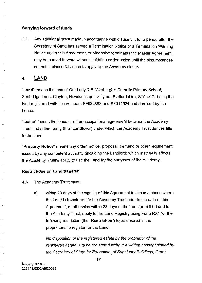#### **Carrying forward of funds**

3.L Any additional grant made in accordance with clause 3.1, for a period after the Secretary of State has served a Termination Notice or a Termination Warning Notice under this Agreement, or otherwise terminates the Master Agreement, may be carried forward without limitation or deduction until the circumstances set out in clause 3.1 cease to apply or the Academy closes.

## **4. LAND**

 $\ddot{\phantom{a}}$ 

i.

 $\ddot{\phantom{a}}$ 

 $\ddotsc$ 

i.

i.

 $\bar{\beta}$ 

**"Land"** means the land at Our Lady & St Werburgh's Catholic Primary School, Seabridge Lane, Clayton, Newcastle under Lyme, Staffordshire, ST5 4AG, being the land registered with title numbers SF522888 and SF311524 and demised by the Lease.

**"Lease"** means the lease or other occupational agreement between the Academy Trust and a third party (the **"Landlord")** under which the Academy Trust derives title to the Land.

**"Property Notice"** means any order, notice, proposal, demand or other requirement issued by any competent authority (including the Landlord) which materially affects the Academy Trust's ability to use the Land for the purposes of the Academy.

#### **Restrictions on Land transfer**

4.A The Academy Trust must:

a) within 28 days of the signing of this Agreement in circumstances where the Land is transferred to the Academy Trust prior to the date of this Agreement, or otherwise within 28 days of the transfer of the Land to the Academy Trust, apply to the Land Registry using Form RX1 for the following restriction (the **"Restriction")** to be entered in the proprietorship register for the Land:

No disposition of the registered estate by the proprietor of the registered estate is to be registered without a written consent signed by the Secretary of State for Education, of Sanctuary Buildings, Great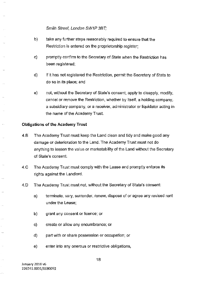#### Smith Street, London SW1P 3BT;

- b) take any further steps reasonably required to ensure that the Restriction is entered on the proprietorship register;
- c) promptly confirm to the Secretary of State when the Restriction has been registered;
- d) if it has not registered the Restriction, permit the Secretary of State to do so in its place; and
- e) not, without the Secretary of State's consent, apply to disapply, modify, cancel or remove the Restriction, whether by itself, a holding company, **a subsidiary company, or a receiver, administrator or liquidator actlng in**  the name of the Academy Trust.

#### **Obligations of the Academy Trust**

j.

g.

 $\ddot{\phi}$ 

...

- 4.B The Academy Trust must keep the Land clean and tidy and make good any damage or deterioration to the Land. The Academy Trust must not do anything to lessen the value or marketability of the Land without the Secretary of State's consent.
- 4.C The Academy Trust must comply with the Lease and promptly enforce its rights against the Landlord.
- 4.D The Academy Trust must not, without the Secretary of State's consent:
	- **a) terminate, vary, surrender, renew, dispose of or agree any revised rent**  under the Lease;
	- b) grant any consent or licence; or
	- **c) create or allow any encumbrance; or**
	- d) part with or share possession or occupation; or
	- **e) enter into any onerous or restrictive obligations,**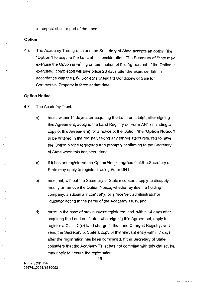in respect of all or part of the Land.

#### **Option**

 $\ddotsc$ 

 $\sim$ 

. . .

. . .

4.E The Academy Trust grants and the Secretary of State accepts an option (the **"Option")** to acquire the Land at nil consideration. The Secretary of State may exercise the Option in writing on termination of this Agreement. If the Option is exercised, completion will take place 28 days after the exercise date in accordance with the Law Society's Standard Conditions of Sale for Commercial Property in force at that date.

#### **Option Notice**

- 4.F The Academy Trust:
	- a) must, within 14 days after acquiring the Land or, if later, after signing this Agreement, apply to the Land Registry on Form AN1 (including a copy of this Agreement) for a notice of the Option (the **"Option Notice")**  to be entered in the register, taking any further steps required to have the Option Notice registered and promptly confirming to the Secretary of State when this has been done;
	- b) if it has not registered the Option Notice, agrees that the Secretary of State may apply to register it using Form UN 1;
	- c) must not, without the Secretary of State's consent, apply to disapply, modify or remove the Option Notice, whether by itself, a holding **company, a subsidiary company, or a receiver, administrator or**  liquidator acting in the name of the Academy Trust, and
	- d) must, in the case of previously unregistered land, within 14 days after acquiring the Land or, if later, after signing this Agreement, apply to register a Class C(iv) land charge in the Land Charges Registry, and send the Secretary of State a copy of the relevant entry within 7 days after the registration has been completed. If the Secretary of State considers that the Academy Trust has not complied with this clause, he may apply to secure the registration.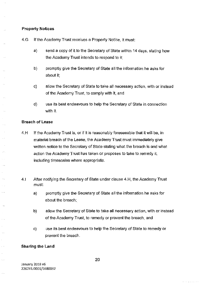#### **Property Notices**

т.

 $\ddot{\phantom{a}}$ 

Ġ,

 $\bar{\lambda}$ 

i.

÷. Į.

.,

ò, . . .

Ц,

ò, J.

 $\overline{\mathcal{L}}$ 

÷.

 $\langle \cdot \rangle$ 

 $\ddotsc$ 

- 4.G If the Academy Trust receives a Property Notice, it must:
	- a) send a copy of it to the Secretary of State within 14 days, stating how the Academy Trust intends to respond to it;
	- b) promptly give the Secretary of State all the information he asks for about it;
	- c) allow the Secretary of State to take all necessary action, with or instead of the Academy Trust, to comply with it, and
	- d) use its best endeavours to help the Secretary of State in connection with it.

#### **Breach of Lease**

- 4.H If the Academy Trust is, or if it is reasonably foreseeable that it will be, in material breach of the Lease, the Academy Trust must immediately give written notice to the Secretary of State stating what the breach is and what action the Academy Trust has taken or proposes to take to remedy it, including timescales where appropriate.
- 4.1 After notifying the Secretary of State under clause 4.H, the Academy Trust must:
	- a) promptly give the Secretary of State all the information he asks for about the breach;
	- b) allow the Secretary of State to take all necessary action, with or instead of the Academy Trust, to remedy or prevent the breach, and
	- c) use its best endeavours to help the Secretary of State to remedy or prevent the breach.

#### **Sharing the Land**

**January 2018 v6**  226741.0001/6680092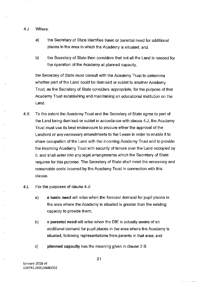4.J Where:

 $\sim$   $\sim$ 

 $\sim$ 

 $\cdots$ 

 $\sim$  .

 $\bar{\mathbf{x}}_{1,2}$ 

ò. . . .

 $\bar{\beta}$  $\bar{\mathcal{L}}$ 

 $\sim$  . .

.<br>..

4

- a) the Secretary of State identifies basic or parental need for additional places in the area in which the Academy is situated; and
- b) the Secretary of State then considers that not all the Land is needed for the operation of the Academy at planned capacity,

the Secretary of State must consult with the Academy Trust to determine whether part of the Land could be demised or sublet to another Academy Trust, as the Secretary of State considers appropriate, for the purpose of that Academy Trust establishing and maintaining an educational institution on the Land.

- 4.K To the extent the Academy Trust and the Secretary of State agree to part of the Land being demised or sublet in accordance with clause 4.J, the Academy Trust must use its best endeavours to procure either the approval of the Landlord or any necessary amendments to the Lease in order to enable it to share occupation of the Land with the incoming Academy Trust and to provide the incoming Academy Trust with security of tenure over the Land occupied by it, and shall enter into any legal arrangements which the Secretary of State requires for this purpose. The Secretary of State shall meet the necessary and reasonable costs incurred by the Academy Trust in connection with this **clause.**
- 4.L For the purposes of clause 4.J:
	- a) a **basic need** will arise when the forecast demand for pupil places in the area where the Academy is situated is greater than the existing capacity to provide them;
	- b) a **parental need** will arise when the DIE is actually aware of an additional demand for pupil places in the area where the Academy is situated, following representations from parents in that area; and
	- c) **planned capacity** has the meaning given in clause 2.B.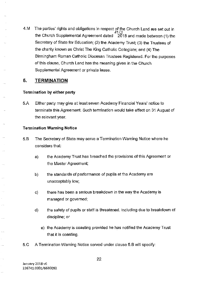4.M The parties' rights and obligations in respect of the Church Land are set out in 1113 the Church Supplemental Agreement dated 2018 and made between (1) the Secretary of State for Education; (2) the Academy Trust; (3) the Trustees of the charity known as Christ The King Catholic Collegiate; and (4) The Birmingham Roman Catholic Diocesan Trustees Registered. For the purposes of this clause, Church Land has the meaning given in the Church Supplemental Agreement or private lease.

## **5. TERMINATION**

J.

 $\mathbf{r}$ 

....

 $\sim$ 

 $\ddotsc$ 

ż,

#### **Termination by either party**

5.A Either party may give at least seven Academy Financial Years' notice to terminate this Agreement. Such termination would take effect on 31 August of the relevant year.

#### **Termination Warning Notice**

- 5.B The Secretary of State may serve a Termination Warning Notice where he considers that:
	- a) the Academy Trust has breached the provisions of this Agreement or the Master Agreement;
	- b) the standards of performance of pupils at the Academy are unacceptably low;
	- c) there has been a serious breakdown in the way the Academy is **managed or governed;**
	- d) the safety of pupils or staff is threatened, including due to breakdown of **discipline; or** 
		- e) the Academy is coasting provided he has notified the Academy Trust that it is coasting.
- 5.C A Termination Warning Notice served under clause 5.B will specify: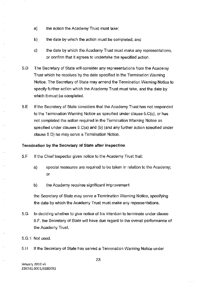- a) the action the Academy Trust must take;
- b) the date by which the action must be completed; and
- c) the date by which the Academy Trust must make any representations, or confirm that it agrees to undertake the specified action.
- 5. D The Secretary of State will consider any representations from the Academy Trust which he receives by the date specified in the Termination Warning Notice. The Secretary of State may amend the Termination Warning Notice to specify further action which the Academy Trust must take, and the date by which it must be completed.
- 5.E If the Secretary of State considers that the Academy Trust has not responded to the Termination Warning Notice as specified under clause 5.C(c), or has not completed the action required in the Termination Warning Notice as specified under clauses 5.C(a) and (b) (and any further action specified under clause 5.D) he may serve a Termination Notice.

#### **Termination by the Secretary of State after inspection**

- 5.F If the Chief Inspector gives notice to the Academy Trust that:
	- a) special measures are required to be taken in relation to the Academy; or
	- b) the Academy requires significant improvement

the Secretary of State may serve a Termination Warning Notice, specifying the date by which the Academy Trust must make any representations.

- 5.G In deciding whether to give notice of his intention to terminate under clause 5.F, the Secretary of State will have due regard to the overall performance of the Academy Trust.
- 5.G.1 Not used.

 $\ddot{\phantom{a}}$ 

 $\ldots$ 

 $\ddotsc$ 

 $\ddotsc$ 

. ..

 $\bar{\beta}$ 

 $\bar{\mathcal{A}}$ 

 $\ldots$ 

5.H If the Secretary of State has served a Termination Warning Notice under

**January 2018 v6**  2267 41.0001/6680092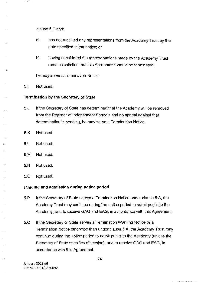clause 5.F and:

- a) has not received any representations from the Academy Trust by the date specified in the notice; or
- b) having considered the representations made by the Academy Trust remains satisfied that this Agreement should be terminated;

he may serve a Termination Notice.

5.1 Not used.

 $\ddot{\phantom{a}}$ 

 $\sim$ 

 $\sim$   $\lambda$ 

l.

U,

i<br>Se

÷.

. . .

 $\bar{\psi}$ 

l,

ļ.

#### **Termination by the Secretary of State**

- 5.J If the Secretary of State has determined that the Academy will be removed from the Register of Independent Schools and no appeal against that determination is pending, he may serve a Termination Notice.
- 5.K Not used.
- 5.L Not used.
- 5.M Not used.
- 5.N Not used.
- 5.0 Not used.

#### **Funding and admission during notice period**

- 5.P If the Secretary of State serves a Termination Notice under clause 5.A, the Academy Trust may continue during the notice period to admit pupils to the Academy, and to receive GAG and EAG, in accordance with this Agreement.
- 5.Q If the Secretary of State serves a Termination Warning Notice or a Termination Notice otherwise than under clause 5.A, the Academy Trust may continue during the notice period to admit pupils to the Academy (unless the Secretary of State specifies otherwise), and to receive GAG and EAG, in accordance with this Agreement.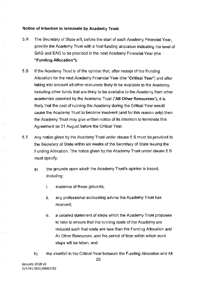#### **Notice of intention to terminate by Academy Trust**

 $\sim$ 

i.

J.

 $\ddotsc$ 

- 5.R The Secretary of State will, before the start of each Academy Financial Year, provide the Academy Trust with a final funding allocation indicating the level of GAG and EAG to be provided in the next Academy Financial Year (the **"Funding Allocation").**
- 5.S If the Academy Trust is of the opinion that, after receipt of the Funding Allocation for the next Academy Financial Year (the **"Critical Year")** and after taking into account all other resources likely to be available to the Academy, including other funds that are likely to be available to the Academy from other academies operated by the Academy Trust **("All Other Resources"),** it is likely that the cost of running the Academy during the Critical Year would cause the Academy Trust to become insolvent (and for this reason only) then the Academy Trust may give written notice of its intention to terminate this Agreement on 31 August before the Critical Year.
- 5.T Any notice given by the Academy Trust under clause 5.S must be provided to the Secretary of State within six weeks of the Secretary of State issuing the Funding Allocation. The notice given by the Academy Trust under clause 5.S must specify:
	- a) the grounds upon which the Academy Trust's opinion is based, including:
		- i. evidence of those grounds;
		- ii. any professional accounting advice the Academy Trust has **received;**
		- iii. a detailed statement of steps which the Academy Trust proposes to take to ensure that the running costs of the Academy are reduced such that costs are less than the Funding Allocation and All Other Resources, and the period of time within which such steps will be taken; and
	- b) the shortfall in the Critical Year between the Funding Allocation and All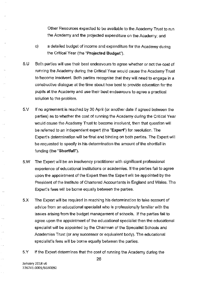Other Resources expected to be available to the Academy Trust to run the Academy and the projected expenditure on the Academy; and

- c) a detailed budget of income and expenditure for the Academy during the Critical Year (the **"Projected Budget"),**
- 5.U Both parties will use their best endeavours to agree whether or not the cost of running the Academy during the Critical Year would cause the Academy Trust to become insolvent. Both parties recognise that they will need to engage in a constructive dialogue at the time about how best to provide education for the pupils at the Academy and use their best endeavours to agree a practical solution to the problem.
- 5.V If no agreement is reached by 30 April (or another date if agreed between the parties) as to whether the cost of running the Academy during the Critical Year would cause the Academy Trust to become insolvent, then that question will be referred to an independent expert (the **"Expert")** for resolution. The Expert's determination will be final and binding on both parties. The Expert will be requested to specify in his determination the amount of the shortfall in funding (the **"Shortfall").**
- 5.W The Expert will be an insolvency practitioner with significant professional experience of educational institutions or academies. If the parties fail to agree upon the appointment of the Expert then the Expert will be appointed by the President of the Institute of Chartered Accountants in England and Wales. The Expert's fees will be borne equally between the parties.
- 5.X The Expert will be required in reaching his determination to take account of advice from an educational specialist who is professionally familiar with the issues arising from the budget management of schools. If the parties fail to agree upon the appointment of the educational specialist then the educational specialist will be appointed by the Chairman of the Specialist Schools and Academies Trust (or any successor or equivalent body). The educational specialist's fees will be borne equally between the parties.
- 5.Y If the Expert determines that the cost of running the Academy during the

J.

 $\bar{L}_\mathrm{c}$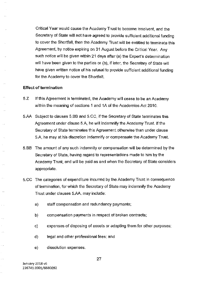Critical Year would cause the Academy Trust to become insolvent, and the Secretary of State will not have agreed to provide sufficient additional funding to cover the Shortfall, then the Academy Trust will be entitled to terminate this Agreement, by notice expiring on 31 August before the Critical Year. Any such notice will be given within 21 days after (a) the Expert's determination will have been given to the parties or (b), if later, the Secretary of State will have given written notice of his refusal to provide sufficient additional funding for the Academy to cover the Shortfall.

#### **Effect of termination**

i.

 $\bar{z}$ 

J.

 $\bar{\mathcal{A}}$ 

i.

. . . .

- 5.Z If this Agreement is terminated, the Academy will cease to be an Academy within the meaning of sections 1 and 1A of the Academies Act 2010.
- 5.M Subject to clauses 5.BB and 5.CC, if the Secretary of State terminates this Agreement under clause 5.A, he will indemnify the Academy Trust. If the Secretary of State terminates this Agreement otherwise than under clause 5.A, he may at his discretion indemnify or compensate the Academy Trust.
- 5.BB The amount of any such indemnity or compensation will be determined by the Secretary of State, having regard to representations made to him by the Academy Trust, and will be paid as and when the Secretary of State considers appropriate.
- 5.CC The categories of expenditure incurred by the Academy Trust in consequence of termination, for which the Secretary of State may indemnify the Academy Trust under clauses 5.M, may include:
	- a) staff compensation and redundancy payments;
	- b) compensation payments in respect of broken contracts;
	- c) expenses of disposing of assets or adapting them for other purposes;
	- d) legal and other professional fees; and
	- e) dissolution expenses.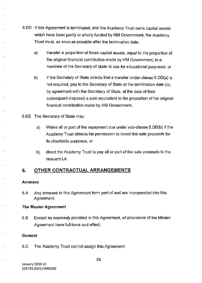- 5.DD If this Agreement is terminated, and the Academy Trust owns capital assets which have been partly or wholly funded by HM Government, the Academy Trust must, as soon as possible after the termination date:
	- a) transfer a proportion of those capital assets, equal to the proportion of the original financial contribution made by HM Government, to a nominee of the Secretary of State to use for educational purposes; or
	- b) if the Secretary of State directs that a transfer under clause 5.DD(a) is not required, pay to the Secretary of State at the termination date (or, by agreement with the Secretary of State, at the date of their subsequent disposal) a sum equivalent to the proportion of the original financial contribution made by HM Government.
- 5.EE The Secretary of State may:
	- a) Waive all or part of the repayment due under sub-clause 5.DD(b) if the Academy Trust obtains his permission to invest the sale proceeds for its charitable purposes; or
	- b) direct the Academy Trust to pay all or part of the sale proceeds to the relevant LA.

## **6. OTHER CONTRACTUAL ARRANGEMENTS**

#### **Annexes**

 $\sim$ 

 $\ddotsc$ 

 $\bar{L}_\mathrm{in}$ 

 $\bar{\mathcal{A}}$ 

 $\cdots$ 

÷.

6.A Any annexes to this Agreement form part of and are incorporated into this Agreement.

#### **The Master Agreement**

6. B Except as expressly provided in this Agreement, all provisions of the Master Agreement have full force and effect

#### **General**

6. C The Academy Trust cannot assign this Agreement.

**January 2018 v6**  226741.0001/6680092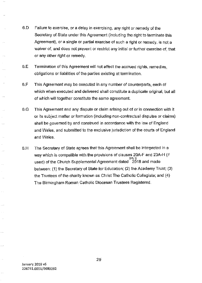- 6.D Failure to exercise, or a delay in exercising, any right or remedy of the Secretary of State under this Agreement (including the right to terminate this Agreement), or a single or partial exercise of such a right or remedy, is not a waiver of, and does not prevent or restrict any initial or further exercise of, that or any other right or remedy.
- 6.E Termination of this Agreement will not affect the accrued rights, remedies, obligations or liabilities of the parties existing at termination.
- 6.F This Agreement may be executed in any number of counterparts, each of which when executed and delivered shall constitute a duplicate original, but all of which will together constitute the same agreement.
- 6.G This Agreement and any dispute or claim arising out of or in connection with it or its subject matter or formation (including non-contractual disputes or claims) shall be governed by and construed in accordance with the law of England and Wales, and submitted to the exclusive jurisdiction of the courts of England and Wales.
- 6.H The Secretary of State agrees that this Agreement shall be interpreted in a way which is compatible with the provisions of clauses 20A-F and 23A-H (if **.2.<'J/** *3*  used) of the Church Supplemental Agreement dated 2018 and made between: (1) the Secretary of State for Education; (2) the Academy Trust; (3) the Trustees of the charity known as Christ The Catholic Collegiate; and (4) The Birmingham Roman Catholic Diocesan Trustees Registered.

 $\bar{\omega}$ 

 $\sim$   $\sim$ 

J.

 $\sim$ 

29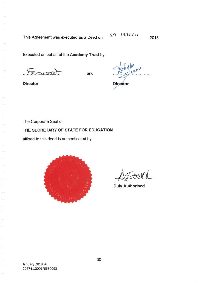This Agreement was executed as a Deed on

Executed on behalf of the **Academy Trust** by:

Ex **s**<br>8

**Director** 

**Director** 

The Corporate Seal of

#### **THE SECRETARY OF STATE FOR EDUCATION**

affixed to this deed is authenticated by:



**Duly Authorised**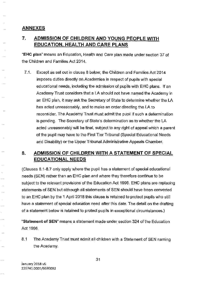## **ANNEXES**

13

i.

.<br>Gwele

 $\bar{\psi}$  .

.<br>...

ò,

 $\sim$   $\sim$ 

....

Щ,

J.

## **7. ADMISSION OF CHILDREN AND YOUNG PEOPLE WITH EDUCATION, HEALTH AND CARE PLANS**

**"EHC plan"** means an Education, Health and Care plan made under section 37 of the Children and Families Act 2014.

7.1. Except as set out in clause 8 below, the Children and Families Act 2014 imposes duties directly on Academies in respect of pupils with special educational needs, including the admission of pupils with EHC plans. If an Academy Trust considers that a LA should not have named the Academy in an EHC plan, it may ask the Secretary of State to determine whether the LA has acted unreasonably, and to make an order directing the LA to reconsider. The Academy Trust must admit the pupil if such a determination is pending. The Secretary of State's determination as to whether the LA acted unreasonably will be final, subject to any right of appeal which a parent of the pupil may have to the First Tier Tribunal (Special Educational Needs and Disability) or the Upper Tribunal Administrative Appeals Chamber.

## **8. ADMISSION OF CHILDREN WITH A STATEMENT OF SPECIAL EDUCATIONAL NEEDS**

(Clauses 8.1-8. 7 only apply where the pupil has a statement of special educational needs (SEN) rather than an EHC plan and where they therefore continue to be subject to the relevant provisions of the Education Act 1996. EHC plans are replacing statements of SEN but although all statements of SEN should have been converted to an EHC plan by the 1 April 2018 this clause is retained to protect pupils who still have a statement of special education need after this date. The detail on the drafting of a statement below is retained to protect pupils in exceptional circumstances.)

**"Statement of SEN"** means a statement made under section 324 of the Education Act 1996.

8.1 The Academy Trust must admit all children with a Statement of SEN naming the Academy.

**January 2018 v6**  226741.0001/6680092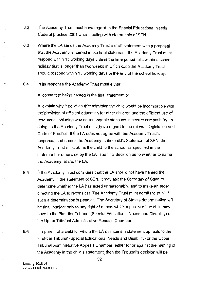- 8.2 The Academy Trust must have regard to the Special Educational Needs Code of practice 2001 when dealing with statements of SEN.
- 8.3 Where the LA sends the Academy Trust a draft statement with a proposal that the Academy is named in the final statement, the Academy Trust must respond within 15 working days unless the time period falls within a school holiday that is longer than two weeks in which case the Academy Trust should respond within 15 working days of the end of the school holiday.
- 8.4 In its response the Academy Trust must either:

 $\ldots$ 

 $\ldots$ 

i.

 $\mathcal{L}_{\mathcal{L}}$ 

 $\bar{\omega}$  .

 $\bar{z}_i$ 

 $\sim$   $\sim$ 

., k

 $\hat{\phi}$  .  $\hat{\phi}$ 

 $\sim$ 

 $\bar{\rho}$  or  $\bar{\rho}$ 

 $\mathbb{Z}_2$ 

 $\hat{\phi}$  ,

.....

ù,

 $\ddotsc$ 

 $\sim$ 

÷. Ц,

. . . . .

a. consent to being named in the final statement or

b. explain why it believes that admitting the child would be incompatible with the provision of efficient education for other children and the efficient use of resources, including why no reasonable steps could secure compatibility. In doing so the Academy Trust must have regard to the relevant legislation and Code of Practice. If the LA does not agree with the Academy Trust's response, and names the Academy in the child's Statement of SEN, the Academy Trust must admit the child to the school as specified in the statement or otherwise by the LA. The final decision as to whether to name the Academy falls to the LA.

- 8.5 If the Academy Trust considers that the LA should not have named the Academy in the statement of SEN, it may ask the Secretary of State to determine whether the LA has acted unreasonably, and to make an order directing the LA to reconsider. The Academy Trust must admit the pupil if such a determination is pending. The Secretary of State's determination will be final, subject only to any right of appeal which a parent of the child may have to the First-tier Tribunal (Special Educational Needs and Disability) or the Upper Tribunal Administrative Appeals Chamber.
- 8.6 If a parent of a child for whom the LA maintains a statement appeals to the First-tier Tribunal (Special Educational Needs and Disability) or the Upper Tribunal Administrative Appeals Chamber, either for or against the naming of the Academy in the child's statement, then the Tribunal's decision will be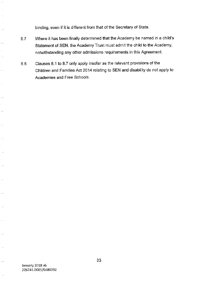binding, even if it is different from that of the Secretary of State.

- 8.7 Where it has been finally determined that the Academy be named in a child's Statement of SEN, the Academy Trust must admit the child to the Academy, notwithstanding any other admissions requirements in this Agreement.
- 8.8 Clauses 8.1 to 8.7 only apply insofar as the relevant provisions of the Children and Families Act 2014 relating to SEN and disability do not apply to Academies and Free Schools.

 $\tau_{\rm{ph}}$ 

÷, Ш,

÷,

 $\langle \cdot, \cdot \rangle$ 

 $\hat{\phi}$ 

 $\ddot{\phantom{0}}$ 

 $\hat{\rho}$  (  $\hat{\rho}$ 

Ŷ,  $\hat{\phi}_{\rm max}$ 

Ŷ,  $\hat{\mathcal{L}}$  ,

 $\mathbb{R}^2$ 

 $\ddotsc$ 

Ļ,  $\ddotsc$ 

 $\bar{\mathcal{A}}$ 

 $\langle \cdot \rangle$ 

 $\bar{z}$  $\langle \cdot, \cdot \rangle$ 

 $\bar{z}$  $\sim$   $\sim$ 

 $\bar{\mathcal{A}}$  :

 $\bar{\mathcal{A}}$ 

 $\sim$ 

 $\hat{\mathcal{L}}$ ý.

 $\bar{z}$  $\langle \cdot, \cdot \rangle$ 

 $\hat{\mathcal{E}}$  $\hat{\rho}$  is

 $\hat{\mathcal{L}}$  ,  $\hat{\mathcal{L}}$ 

 $\bar{\bar{z}}$  $\bar{\mathcal{A}}$ 

 $\hat{\boldsymbol{\epsilon}}$  $\sim$   $\sim$